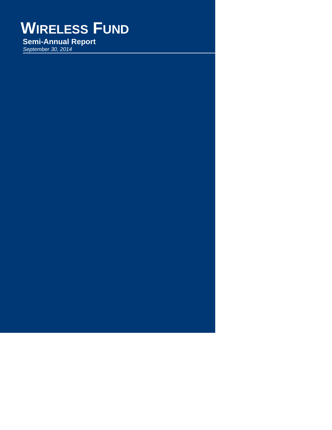# **WIRELESS FUND**

*September 30, 2014* **Semi-Annual Report**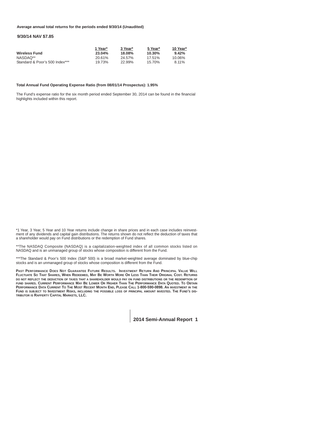## **Average annual total returns for the periods ended 9/30/14 (Unaudited)**

# **9/30/14 NAV \$7.85**

|                                | 1 Year* | 3 Year* | 5 Year* | 10 Year* |
|--------------------------------|---------|---------|---------|----------|
| <b>Wireless Fund</b>           | 23.04%  | 18.08%  | 10.30%  | $9.42\%$ |
| NASDAO**                       | 20.61%  | 24.57%  | 17.51%  | 10.06%   |
| Standard & Poor's 500 Index*** | 19.73%  | 22.99%  | 15.70%  | 8.11%    |

#### **Total Annual Fund Operating Expense Ratio (from 08/01/14 Prospectus): 1.95%**

The Fund's expense ratio for the six month period ended September 30, 2014 can be found in the financial highlights included within this report.

\*1 Year, 3 Year, 5 Year and 10 Year returns include change in share prices and in each case includes reinvestment of any dividends and capital gain distributions. The returns shown do not reflect the deduction of taxes that a shareholder would pay on Fund distributions or the redemption of Fund shares.

\*\*The NASDAQ Composite (NASDAQ) is a capitalization-weighted index of all common stocks listed on NASDAQ and is an unmanaged group of stocks whose composition is different from the Fund.

\*\*\*The Standard & Poor's 500 Index (S&P 500) is a broad market-weighted average dominated by blue-chip stocks and is an unmanaged group of stocks whose composition is different from the Fund.

**PAST PERFORMANCE DOES NOT GUARANTEE FUTURE RESULTS. INVESTMENT RETURN AND PRINCIPAL VALUE WILL FLUCTUATE SO THAT SHARES, WHEN REDEEMED, MAY BE WORTH MORE OR LESS THAN THEIR ORIGINAL COST. RETURNS DO NOT REFLECT THE DEDUCTION OF TAXES THAT A SHAREHOLDER WOULD PAY ON FUND DISTRIBUTIONS OR THE REDEMPTION OF FUND SHARES. CURRENT PERFORMANCE MAY BE LOWER OR HIGHER THAN THE PERFORMANCE DATA QUOTED. TO OBTAIN PERFORMANCE DATA CURRENT TO THE MOST RECENT MONTH END, PLEASE CALL 1-800-590-0898. AN INVESTMENT IN THE FUND IS SUBJECT TO INVESTMENT RISKS, INCLUDING THE POSSIBLE LOSS OF PRINCIPAL AMOUNT INVESTED. THE FUND'S DIS-TRIBUTOR IS RAFFERTY CAPITAL MARKETS, LLC.**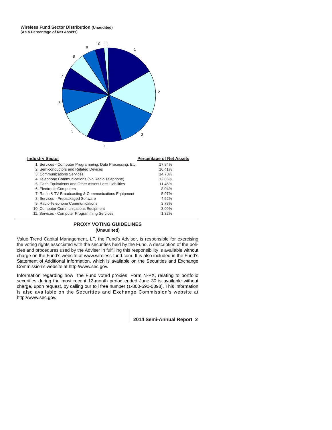# **Wireless Fund Sector Distribution (Unaudited) (As a Percentage of Net Assets)**



| <b>Industry Sector</b>                                    | <b>Percentage of Net Assets</b> |
|-----------------------------------------------------------|---------------------------------|
| 1. Services - Computer Programming, Data Processing, Etc. | 17.84%                          |
| 2. Semiconductors and Related Devices                     | 16.41%                          |
| 3. Communications Services                                | 14.73%                          |
| 4. Telephone Communications (No Radio Telephone)          | 12.85%                          |
| 5. Cash Equivalents and Other Assets Less Liabilities     | 11.45%                          |
| 6. Electronic Computers                                   | 8.04%                           |
| 7. Radio & TV Broadcasting & Communications Equipment     | 5.97%                           |
| 8. Services - Prepackaged Software                        | 4.52%                           |
| 9. Radio Telephone Communications                         | 3.78%                           |
| 10. Computer Communications Equipment                     | 3.09%                           |
| 11. Services - Computer Programming Services              | 1.32%                           |

# **PROXY VOTING GUIDELINES (Unaudited)**

Value Trend Capital Management, LP, the Fund's Adviser, is responsible for exercising the voting rights associated with the securities held by the Fund. A description of the policies and procedures used by the Adviser in fulfilling this responsibility is available without charge on the Fund's website at www.wireless-fund.com. It is also included in the Fund's Statement of Additional Information, which is available on the Securities and Exchange Commission's website at http://www.sec.gov.

Information regarding how the Fund voted proxies, Form N-PX, relating to portfolio securities during the most recent 12-month period ended June 30 is available without charge, upon request, by calling our toll free number (1-800-590-0898). This information is also available on the Securities and Exchange Commission's website at http://www.sec.gov.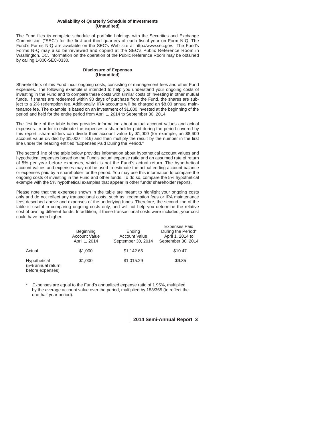# **Availability of Quarterly Schedule of Investments (Unaudited)**

The Fund files its complete schedule of portfolio holdings with the Securities and Exchange Commission ("SEC") for the first and third quarters of each fiscal year on Form N-Q. The Fund's Forms N-Q are available on the SEC's Web site at http://www.sec.gov. The Fund's Forms N-Q may also be reviewed and copied at the SEC's Public Reference Room in Washington, DC. Information on the operation of the Public Reference Room may be obtained by calling 1-800-SEC-0330.

# **Disclosure of Expenses (Unaudited)**

Shareholders of this Fund incur ongoing costs, consisting of management fees and other Fund expenses. The following example is intended to help you understand your ongoing costs of investing in the Fund and to compare these costs with similar costs of investing in other mutual funds. If shares are redeemed within 90 days of purchase from the Fund, the shares are subject to a 2% redemption fee. Additionally, IRA accounts will be charged an \$8.00 annual maintenance fee. The example is based on an investment of \$1,000 invested at the beginning of the period and held for the entire period from April 1, 2014 to September 30, 2014.

The first line of the table below provides information about actual account values and actual expenses. In order to estimate the expenses a shareholder paid during the period covered by this report, shareholders can divide their account value by \$1,000 (for example, an \$8,600 account value divided by  $$1,000 = 8.6$ ) and then multiply the result by the number in the first line under the heading entitled "Expenses Paid During the Period."

The second line of the table below provides information about hypothetical account values and hypothetical expenses based on the Fund's actual expense ratio and an assumed rate of return of 5% per year before expenses, which is not the Fund's actual return. The hypothetical account values and expenses may not be used to estimate the actual ending account balance or expenses paid by a shareholder for the period. You may use this information to compare the ongoing costs of investing in the Fund and other funds. To do so, compare the 5% hypothetical example with the 5% hypothetical examples that appear in other funds' shareholder reports.

Please note that the expenses shown in the table are meant to highlight your ongoing costs only and do not reflect any transactional costs, such as redemption fees or IRA maintenance fees described above and expenses of the underlying funds. Therefore, the second line of the table is useful in comparing ongoing costs only, and will not help you determine the relative cost of owning different funds. In addition, if these transactional costs were included, your cost could have been higher.

|                                                       | <b>Beginning</b><br><b>Account Value</b><br>April 1, 2014 | Ending<br><b>Account Value</b><br>September 30, 2014 | <b>Expenses Paid</b><br>During the Period*<br>April 1, 2014 to<br>September 30, 2014 |
|-------------------------------------------------------|-----------------------------------------------------------|------------------------------------------------------|--------------------------------------------------------------------------------------|
| Actual                                                | \$1,000                                                   | \$1.142.65                                           | \$10.47                                                                              |
| Hypothetical<br>(5% annual return<br>before expenses) | \$1,000                                                   | \$1,015.29                                           | \$9.85                                                                               |

\* Expenses are equal to the Fund's annualized expense ratio of 1.95%, multiplied by the average account value over the period, multiplied by 183/365 (to reflect the one-half year period).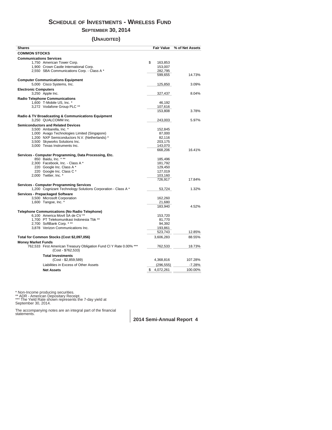# **SCHEDULE OF INVESTMENTS - WIRELESS FUND**

# **SEPTEMBER 30, 2014**

# **(UNAUDITED)**

| <b>COMMON STOCKS</b><br><b>Communications Services</b><br>\$<br>1,750 American Tower Corp.<br>163,853<br>1,900 Crown Castle International Corp.<br>153,007<br>2,550 SBA Communications Corp. - Class A *<br>282,795<br>14.73%<br>599,655<br><b>Computer Communications Equipment</b><br>5,000 Cisco Systems, Inc.<br>125,850<br>3.09%<br><b>Electronic Computers</b><br>3,250 Apple Inc.<br>327,437<br>8.04%<br><b>Radio Telephone Communications</b><br>1,600 T-Mobile US, Inc. *<br>46,192<br>3,272 Vodafone Group PLC **<br>107,616<br>153,808<br>3.78%<br>Radio & TV Broadcasting & Communications Equipment<br>3,250 QUALCOMM Inc.<br>5.97%<br>243,003<br><b>Semiconductors and Related Devices</b><br>3,500 Ambarella, Inc. *<br>152,845<br>1,000 Avago Technologies Limited (Singapore)<br>87,000<br>1,200 NXP Semiconductors N.V. (Netherlands) *<br>82,116<br>3,500 Skyworks Solutions Inc.<br>203,175<br>3,000 Texas Instruments Inc.<br>143,070<br>668,206<br>16.41%<br>Services - Computer Programming, Data Processing, Etc.<br>850 Baidu, Inc. ***<br>185,496<br>2,300 Facebook, Inc. - Class A *<br>181,792<br>220 Google Inc. Class A*<br>129,450<br>220 Google Inc. Class C *<br>127,019<br>2,000 Twitter, Inc. *<br>103,160<br>726,917<br>17.84%<br><b>Services - Computer Programming Services</b><br>1,200 Cognizant Technology Solutions Corporation - Class A *<br>1.32%<br>53,724<br><b>Services - Prepackaged Software</b><br>3,500 Microsoft Corporation<br>162,260<br>1,600 Tangoe, Inc. *<br>21,680<br>183,940<br>4.52%<br><b>Telephone Communications (No Radio Telephone)</b><br>6,100 America Movil SA de CV **<br>153,720<br>1,700 PT Telekomunikasi Indonesia Tbk **<br>81,770<br>2,700 SoftBank Corp. ***<br>94,392<br>3,878 Verizon Communications Inc.<br>193,861<br>523,743<br>12.85%<br>Total for Common Stocks (Cost \$2,097,056)<br>3,606,283<br>88.55%<br><b>Money Market Funds</b><br>762,533 First American Treasury Obligation Fund Cl Y Rate 0.00% ***<br>762,533<br>18.73%<br>(Cost - \$762,533)<br><b>Total Investments</b><br>$(Cost - $2,859,589)$<br>107.28%<br>4,368,816<br>Liabilities in Excess of Other Assets<br>(296, 555)<br>-7.28%<br>4,072,261<br>100.00%<br><b>Net Assets</b><br>\$ | Shares | <b>Fair Value</b> | % of Net Assets |
|------------------------------------------------------------------------------------------------------------------------------------------------------------------------------------------------------------------------------------------------------------------------------------------------------------------------------------------------------------------------------------------------------------------------------------------------------------------------------------------------------------------------------------------------------------------------------------------------------------------------------------------------------------------------------------------------------------------------------------------------------------------------------------------------------------------------------------------------------------------------------------------------------------------------------------------------------------------------------------------------------------------------------------------------------------------------------------------------------------------------------------------------------------------------------------------------------------------------------------------------------------------------------------------------------------------------------------------------------------------------------------------------------------------------------------------------------------------------------------------------------------------------------------------------------------------------------------------------------------------------------------------------------------------------------------------------------------------------------------------------------------------------------------------------------------------------------------------------------------------------------------------------------------------------------------------------------------------------------------------------------------------------------------------------------------------------------------------------------------------------------------------------------------------------------------------------------------------------------------------------|--------|-------------------|-----------------|
|                                                                                                                                                                                                                                                                                                                                                                                                                                                                                                                                                                                                                                                                                                                                                                                                                                                                                                                                                                                                                                                                                                                                                                                                                                                                                                                                                                                                                                                                                                                                                                                                                                                                                                                                                                                                                                                                                                                                                                                                                                                                                                                                                                                                                                                |        |                   |                 |
|                                                                                                                                                                                                                                                                                                                                                                                                                                                                                                                                                                                                                                                                                                                                                                                                                                                                                                                                                                                                                                                                                                                                                                                                                                                                                                                                                                                                                                                                                                                                                                                                                                                                                                                                                                                                                                                                                                                                                                                                                                                                                                                                                                                                                                                |        |                   |                 |
|                                                                                                                                                                                                                                                                                                                                                                                                                                                                                                                                                                                                                                                                                                                                                                                                                                                                                                                                                                                                                                                                                                                                                                                                                                                                                                                                                                                                                                                                                                                                                                                                                                                                                                                                                                                                                                                                                                                                                                                                                                                                                                                                                                                                                                                |        |                   |                 |
|                                                                                                                                                                                                                                                                                                                                                                                                                                                                                                                                                                                                                                                                                                                                                                                                                                                                                                                                                                                                                                                                                                                                                                                                                                                                                                                                                                                                                                                                                                                                                                                                                                                                                                                                                                                                                                                                                                                                                                                                                                                                                                                                                                                                                                                |        |                   |                 |
|                                                                                                                                                                                                                                                                                                                                                                                                                                                                                                                                                                                                                                                                                                                                                                                                                                                                                                                                                                                                                                                                                                                                                                                                                                                                                                                                                                                                                                                                                                                                                                                                                                                                                                                                                                                                                                                                                                                                                                                                                                                                                                                                                                                                                                                |        |                   |                 |
|                                                                                                                                                                                                                                                                                                                                                                                                                                                                                                                                                                                                                                                                                                                                                                                                                                                                                                                                                                                                                                                                                                                                                                                                                                                                                                                                                                                                                                                                                                                                                                                                                                                                                                                                                                                                                                                                                                                                                                                                                                                                                                                                                                                                                                                |        |                   |                 |
|                                                                                                                                                                                                                                                                                                                                                                                                                                                                                                                                                                                                                                                                                                                                                                                                                                                                                                                                                                                                                                                                                                                                                                                                                                                                                                                                                                                                                                                                                                                                                                                                                                                                                                                                                                                                                                                                                                                                                                                                                                                                                                                                                                                                                                                |        |                   |                 |
|                                                                                                                                                                                                                                                                                                                                                                                                                                                                                                                                                                                                                                                                                                                                                                                                                                                                                                                                                                                                                                                                                                                                                                                                                                                                                                                                                                                                                                                                                                                                                                                                                                                                                                                                                                                                                                                                                                                                                                                                                                                                                                                                                                                                                                                |        |                   |                 |
|                                                                                                                                                                                                                                                                                                                                                                                                                                                                                                                                                                                                                                                                                                                                                                                                                                                                                                                                                                                                                                                                                                                                                                                                                                                                                                                                                                                                                                                                                                                                                                                                                                                                                                                                                                                                                                                                                                                                                                                                                                                                                                                                                                                                                                                |        |                   |                 |
|                                                                                                                                                                                                                                                                                                                                                                                                                                                                                                                                                                                                                                                                                                                                                                                                                                                                                                                                                                                                                                                                                                                                                                                                                                                                                                                                                                                                                                                                                                                                                                                                                                                                                                                                                                                                                                                                                                                                                                                                                                                                                                                                                                                                                                                |        |                   |                 |
|                                                                                                                                                                                                                                                                                                                                                                                                                                                                                                                                                                                                                                                                                                                                                                                                                                                                                                                                                                                                                                                                                                                                                                                                                                                                                                                                                                                                                                                                                                                                                                                                                                                                                                                                                                                                                                                                                                                                                                                                                                                                                                                                                                                                                                                |        |                   |                 |
|                                                                                                                                                                                                                                                                                                                                                                                                                                                                                                                                                                                                                                                                                                                                                                                                                                                                                                                                                                                                                                                                                                                                                                                                                                                                                                                                                                                                                                                                                                                                                                                                                                                                                                                                                                                                                                                                                                                                                                                                                                                                                                                                                                                                                                                |        |                   |                 |
|                                                                                                                                                                                                                                                                                                                                                                                                                                                                                                                                                                                                                                                                                                                                                                                                                                                                                                                                                                                                                                                                                                                                                                                                                                                                                                                                                                                                                                                                                                                                                                                                                                                                                                                                                                                                                                                                                                                                                                                                                                                                                                                                                                                                                                                |        |                   |                 |
|                                                                                                                                                                                                                                                                                                                                                                                                                                                                                                                                                                                                                                                                                                                                                                                                                                                                                                                                                                                                                                                                                                                                                                                                                                                                                                                                                                                                                                                                                                                                                                                                                                                                                                                                                                                                                                                                                                                                                                                                                                                                                                                                                                                                                                                |        |                   |                 |
|                                                                                                                                                                                                                                                                                                                                                                                                                                                                                                                                                                                                                                                                                                                                                                                                                                                                                                                                                                                                                                                                                                                                                                                                                                                                                                                                                                                                                                                                                                                                                                                                                                                                                                                                                                                                                                                                                                                                                                                                                                                                                                                                                                                                                                                |        |                   |                 |
|                                                                                                                                                                                                                                                                                                                                                                                                                                                                                                                                                                                                                                                                                                                                                                                                                                                                                                                                                                                                                                                                                                                                                                                                                                                                                                                                                                                                                                                                                                                                                                                                                                                                                                                                                                                                                                                                                                                                                                                                                                                                                                                                                                                                                                                |        |                   |                 |
|                                                                                                                                                                                                                                                                                                                                                                                                                                                                                                                                                                                                                                                                                                                                                                                                                                                                                                                                                                                                                                                                                                                                                                                                                                                                                                                                                                                                                                                                                                                                                                                                                                                                                                                                                                                                                                                                                                                                                                                                                                                                                                                                                                                                                                                |        |                   |                 |
|                                                                                                                                                                                                                                                                                                                                                                                                                                                                                                                                                                                                                                                                                                                                                                                                                                                                                                                                                                                                                                                                                                                                                                                                                                                                                                                                                                                                                                                                                                                                                                                                                                                                                                                                                                                                                                                                                                                                                                                                                                                                                                                                                                                                                                                |        |                   |                 |
|                                                                                                                                                                                                                                                                                                                                                                                                                                                                                                                                                                                                                                                                                                                                                                                                                                                                                                                                                                                                                                                                                                                                                                                                                                                                                                                                                                                                                                                                                                                                                                                                                                                                                                                                                                                                                                                                                                                                                                                                                                                                                                                                                                                                                                                |        |                   |                 |
|                                                                                                                                                                                                                                                                                                                                                                                                                                                                                                                                                                                                                                                                                                                                                                                                                                                                                                                                                                                                                                                                                                                                                                                                                                                                                                                                                                                                                                                                                                                                                                                                                                                                                                                                                                                                                                                                                                                                                                                                                                                                                                                                                                                                                                                |        |                   |                 |
|                                                                                                                                                                                                                                                                                                                                                                                                                                                                                                                                                                                                                                                                                                                                                                                                                                                                                                                                                                                                                                                                                                                                                                                                                                                                                                                                                                                                                                                                                                                                                                                                                                                                                                                                                                                                                                                                                                                                                                                                                                                                                                                                                                                                                                                |        |                   |                 |
|                                                                                                                                                                                                                                                                                                                                                                                                                                                                                                                                                                                                                                                                                                                                                                                                                                                                                                                                                                                                                                                                                                                                                                                                                                                                                                                                                                                                                                                                                                                                                                                                                                                                                                                                                                                                                                                                                                                                                                                                                                                                                                                                                                                                                                                |        |                   |                 |
|                                                                                                                                                                                                                                                                                                                                                                                                                                                                                                                                                                                                                                                                                                                                                                                                                                                                                                                                                                                                                                                                                                                                                                                                                                                                                                                                                                                                                                                                                                                                                                                                                                                                                                                                                                                                                                                                                                                                                                                                                                                                                                                                                                                                                                                |        |                   |                 |
|                                                                                                                                                                                                                                                                                                                                                                                                                                                                                                                                                                                                                                                                                                                                                                                                                                                                                                                                                                                                                                                                                                                                                                                                                                                                                                                                                                                                                                                                                                                                                                                                                                                                                                                                                                                                                                                                                                                                                                                                                                                                                                                                                                                                                                                |        |                   |                 |
|                                                                                                                                                                                                                                                                                                                                                                                                                                                                                                                                                                                                                                                                                                                                                                                                                                                                                                                                                                                                                                                                                                                                                                                                                                                                                                                                                                                                                                                                                                                                                                                                                                                                                                                                                                                                                                                                                                                                                                                                                                                                                                                                                                                                                                                |        |                   |                 |
|                                                                                                                                                                                                                                                                                                                                                                                                                                                                                                                                                                                                                                                                                                                                                                                                                                                                                                                                                                                                                                                                                                                                                                                                                                                                                                                                                                                                                                                                                                                                                                                                                                                                                                                                                                                                                                                                                                                                                                                                                                                                                                                                                                                                                                                |        |                   |                 |
|                                                                                                                                                                                                                                                                                                                                                                                                                                                                                                                                                                                                                                                                                                                                                                                                                                                                                                                                                                                                                                                                                                                                                                                                                                                                                                                                                                                                                                                                                                                                                                                                                                                                                                                                                                                                                                                                                                                                                                                                                                                                                                                                                                                                                                                |        |                   |                 |
|                                                                                                                                                                                                                                                                                                                                                                                                                                                                                                                                                                                                                                                                                                                                                                                                                                                                                                                                                                                                                                                                                                                                                                                                                                                                                                                                                                                                                                                                                                                                                                                                                                                                                                                                                                                                                                                                                                                                                                                                                                                                                                                                                                                                                                                |        |                   |                 |
|                                                                                                                                                                                                                                                                                                                                                                                                                                                                                                                                                                                                                                                                                                                                                                                                                                                                                                                                                                                                                                                                                                                                                                                                                                                                                                                                                                                                                                                                                                                                                                                                                                                                                                                                                                                                                                                                                                                                                                                                                                                                                                                                                                                                                                                |        |                   |                 |
|                                                                                                                                                                                                                                                                                                                                                                                                                                                                                                                                                                                                                                                                                                                                                                                                                                                                                                                                                                                                                                                                                                                                                                                                                                                                                                                                                                                                                                                                                                                                                                                                                                                                                                                                                                                                                                                                                                                                                                                                                                                                                                                                                                                                                                                |        |                   |                 |
|                                                                                                                                                                                                                                                                                                                                                                                                                                                                                                                                                                                                                                                                                                                                                                                                                                                                                                                                                                                                                                                                                                                                                                                                                                                                                                                                                                                                                                                                                                                                                                                                                                                                                                                                                                                                                                                                                                                                                                                                                                                                                                                                                                                                                                                |        |                   |                 |
|                                                                                                                                                                                                                                                                                                                                                                                                                                                                                                                                                                                                                                                                                                                                                                                                                                                                                                                                                                                                                                                                                                                                                                                                                                                                                                                                                                                                                                                                                                                                                                                                                                                                                                                                                                                                                                                                                                                                                                                                                                                                                                                                                                                                                                                |        |                   |                 |
|                                                                                                                                                                                                                                                                                                                                                                                                                                                                                                                                                                                                                                                                                                                                                                                                                                                                                                                                                                                                                                                                                                                                                                                                                                                                                                                                                                                                                                                                                                                                                                                                                                                                                                                                                                                                                                                                                                                                                                                                                                                                                                                                                                                                                                                |        |                   |                 |
|                                                                                                                                                                                                                                                                                                                                                                                                                                                                                                                                                                                                                                                                                                                                                                                                                                                                                                                                                                                                                                                                                                                                                                                                                                                                                                                                                                                                                                                                                                                                                                                                                                                                                                                                                                                                                                                                                                                                                                                                                                                                                                                                                                                                                                                |        |                   |                 |
|                                                                                                                                                                                                                                                                                                                                                                                                                                                                                                                                                                                                                                                                                                                                                                                                                                                                                                                                                                                                                                                                                                                                                                                                                                                                                                                                                                                                                                                                                                                                                                                                                                                                                                                                                                                                                                                                                                                                                                                                                                                                                                                                                                                                                                                |        |                   |                 |
|                                                                                                                                                                                                                                                                                                                                                                                                                                                                                                                                                                                                                                                                                                                                                                                                                                                                                                                                                                                                                                                                                                                                                                                                                                                                                                                                                                                                                                                                                                                                                                                                                                                                                                                                                                                                                                                                                                                                                                                                                                                                                                                                                                                                                                                |        |                   |                 |
|                                                                                                                                                                                                                                                                                                                                                                                                                                                                                                                                                                                                                                                                                                                                                                                                                                                                                                                                                                                                                                                                                                                                                                                                                                                                                                                                                                                                                                                                                                                                                                                                                                                                                                                                                                                                                                                                                                                                                                                                                                                                                                                                                                                                                                                |        |                   |                 |
|                                                                                                                                                                                                                                                                                                                                                                                                                                                                                                                                                                                                                                                                                                                                                                                                                                                                                                                                                                                                                                                                                                                                                                                                                                                                                                                                                                                                                                                                                                                                                                                                                                                                                                                                                                                                                                                                                                                                                                                                                                                                                                                                                                                                                                                |        |                   |                 |
|                                                                                                                                                                                                                                                                                                                                                                                                                                                                                                                                                                                                                                                                                                                                                                                                                                                                                                                                                                                                                                                                                                                                                                                                                                                                                                                                                                                                                                                                                                                                                                                                                                                                                                                                                                                                                                                                                                                                                                                                                                                                                                                                                                                                                                                |        |                   |                 |
|                                                                                                                                                                                                                                                                                                                                                                                                                                                                                                                                                                                                                                                                                                                                                                                                                                                                                                                                                                                                                                                                                                                                                                                                                                                                                                                                                                                                                                                                                                                                                                                                                                                                                                                                                                                                                                                                                                                                                                                                                                                                                                                                                                                                                                                |        |                   |                 |
|                                                                                                                                                                                                                                                                                                                                                                                                                                                                                                                                                                                                                                                                                                                                                                                                                                                                                                                                                                                                                                                                                                                                                                                                                                                                                                                                                                                                                                                                                                                                                                                                                                                                                                                                                                                                                                                                                                                                                                                                                                                                                                                                                                                                                                                |        |                   |                 |
|                                                                                                                                                                                                                                                                                                                                                                                                                                                                                                                                                                                                                                                                                                                                                                                                                                                                                                                                                                                                                                                                                                                                                                                                                                                                                                                                                                                                                                                                                                                                                                                                                                                                                                                                                                                                                                                                                                                                                                                                                                                                                                                                                                                                                                                |        |                   |                 |
|                                                                                                                                                                                                                                                                                                                                                                                                                                                                                                                                                                                                                                                                                                                                                                                                                                                                                                                                                                                                                                                                                                                                                                                                                                                                                                                                                                                                                                                                                                                                                                                                                                                                                                                                                                                                                                                                                                                                                                                                                                                                                                                                                                                                                                                |        |                   |                 |
|                                                                                                                                                                                                                                                                                                                                                                                                                                                                                                                                                                                                                                                                                                                                                                                                                                                                                                                                                                                                                                                                                                                                                                                                                                                                                                                                                                                                                                                                                                                                                                                                                                                                                                                                                                                                                                                                                                                                                                                                                                                                                                                                                                                                                                                |        |                   |                 |
|                                                                                                                                                                                                                                                                                                                                                                                                                                                                                                                                                                                                                                                                                                                                                                                                                                                                                                                                                                                                                                                                                                                                                                                                                                                                                                                                                                                                                                                                                                                                                                                                                                                                                                                                                                                                                                                                                                                                                                                                                                                                                                                                                                                                                                                |        |                   |                 |
|                                                                                                                                                                                                                                                                                                                                                                                                                                                                                                                                                                                                                                                                                                                                                                                                                                                                                                                                                                                                                                                                                                                                                                                                                                                                                                                                                                                                                                                                                                                                                                                                                                                                                                                                                                                                                                                                                                                                                                                                                                                                                                                                                                                                                                                |        |                   |                 |
|                                                                                                                                                                                                                                                                                                                                                                                                                                                                                                                                                                                                                                                                                                                                                                                                                                                                                                                                                                                                                                                                                                                                                                                                                                                                                                                                                                                                                                                                                                                                                                                                                                                                                                                                                                                                                                                                                                                                                                                                                                                                                                                                                                                                                                                |        |                   |                 |
|                                                                                                                                                                                                                                                                                                                                                                                                                                                                                                                                                                                                                                                                                                                                                                                                                                                                                                                                                                                                                                                                                                                                                                                                                                                                                                                                                                                                                                                                                                                                                                                                                                                                                                                                                                                                                                                                                                                                                                                                                                                                                                                                                                                                                                                |        |                   |                 |
|                                                                                                                                                                                                                                                                                                                                                                                                                                                                                                                                                                                                                                                                                                                                                                                                                                                                                                                                                                                                                                                                                                                                                                                                                                                                                                                                                                                                                                                                                                                                                                                                                                                                                                                                                                                                                                                                                                                                                                                                                                                                                                                                                                                                                                                |        |                   |                 |
|                                                                                                                                                                                                                                                                                                                                                                                                                                                                                                                                                                                                                                                                                                                                                                                                                                                                                                                                                                                                                                                                                                                                                                                                                                                                                                                                                                                                                                                                                                                                                                                                                                                                                                                                                                                                                                                                                                                                                                                                                                                                                                                                                                                                                                                |        |                   |                 |
|                                                                                                                                                                                                                                                                                                                                                                                                                                                                                                                                                                                                                                                                                                                                                                                                                                                                                                                                                                                                                                                                                                                                                                                                                                                                                                                                                                                                                                                                                                                                                                                                                                                                                                                                                                                                                                                                                                                                                                                                                                                                                                                                                                                                                                                |        |                   |                 |

\* Non-Income producing securities.<br>\*\*\* ADR - American Depositary Receipt.<br>\*\*\* The Yield Rate shown represents the 7-day yield at<br>September 30, 2014.

The accompanying notes are an integral part of the financial statements.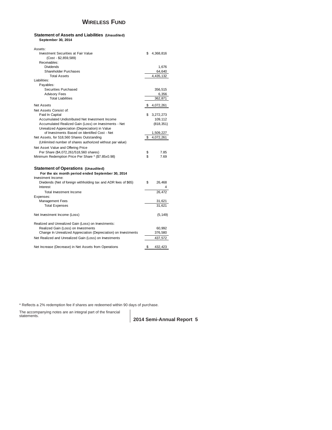# **WIRELESS FUND**

# **Statement of Assets and Liabilities (Unaudited) September 30, 2014**

| Assets:                                                         |    |            |
|-----------------------------------------------------------------|----|------------|
| Investment Securities at Fair Value                             | S. | 4,368,816  |
| (Cost - \$2,859,589)                                            |    |            |
| Receivables:                                                    |    |            |
| Dividends                                                       |    | 1,676      |
| <b>Shareholder Purchases</b>                                    |    | 64,640     |
| <b>Total Assets</b>                                             |    | 4,435,132  |
| Liabilities:                                                    |    |            |
| Payables:                                                       |    |            |
| Securities Purchased                                            |    | 356,515    |
| <b>Advisory Fees</b>                                            |    | 6,356      |
| <b>Total Liabilities</b>                                        |    | 362,871    |
|                                                                 |    |            |
| Net Assets                                                      | \$ | 4,072,261  |
| Net Assets Consist of:                                          |    |            |
| Paid In Capital                                                 | S. | 3,272,273  |
| Accumulated Undistributed Net Investment Income                 |    | 109,112    |
| Accumulated Realized Gain (Loss) on Investments - Net           |    | (818, 351) |
| Unrealized Appreciation (Depreciation) in Value                 |    |            |
| of Investments Based on Identified Cost - Net                   |    | 1,509,227  |
| Net Assets, for 518,560 Shares Outstanding                      | \$ | 4,072,261  |
| (Unlimited number of shares authorized without par value)       |    |            |
| Net Asset Value and Offering Price                              |    |            |
| Per Share (\$4,072,261/518,560 shares)                          | \$ | 7.85       |
| Minimum Redemption Price Per Share * (\$7.85x0.98)              | \$ | 7.69       |
|                                                                 |    |            |
| <b>Statement of Operations (Unaudited)</b>                      |    |            |
| For the six month period ended September 30, 2014               |    |            |
| Investment Income:                                              |    |            |
| Dividends (Net of foreign withholding tax and ADR fees of \$65) | \$ | 26,468     |
| Interest                                                        |    | 4          |
| Total Investment Income                                         |    | 26,472     |
| Expenses:                                                       |    |            |
| <b>Management Fees</b>                                          |    | 31,621     |
| <b>Total Expenses</b>                                           |    | 31,621     |
|                                                                 |    |            |
| Net Investment Income (Loss)                                    |    | (5, 149)   |
|                                                                 |    |            |
| Realized and Unrealized Gain (Loss) on Investments:             |    |            |
| Realized Gain (Loss) on Investments                             |    | 60,992     |
| Change In Unrealized Appreciation (Depreciation) on Investments |    | 376,580    |
| Net Realized and Unrealized Gain (Loss) on Investments          |    | 437,572    |
|                                                                 |    |            |
| Net Increase (Decrease) in Net Assets from Operations           | \$ | 432,423    |

\* Reflects a 2% redemption fee if shares are redeemed within 90 days of purchase.

The accompanying notes are an integral part of the financial statements.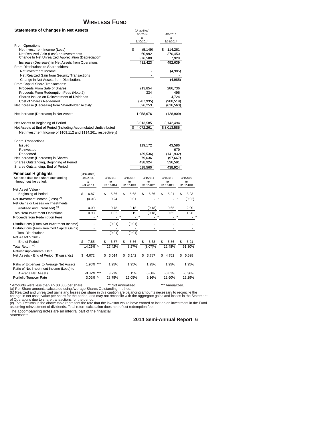# **WIRELESS FUND**

**Statements of Changes in Net Assets** (Unaudited)

| Jualements VI Changes III Net Assets                                                                  |    |                 |  |    |                 |                      | (Uriaudited)<br>4/1/2014<br>to<br>9/30/2014 |                        | 4/1/2013<br>to<br>3/31/2014 |    |                 |
|-------------------------------------------------------------------------------------------------------|----|-----------------|--|----|-----------------|----------------------|---------------------------------------------|------------------------|-----------------------------|----|-----------------|
| From Operations:                                                                                      |    |                 |  |    |                 |                      |                                             |                        |                             |    |                 |
| Net Investment Income (Loss)                                                                          |    |                 |  |    |                 | \$                   |                                             | (5, 149)               | \$<br>114,261               |    |                 |
| Net Realized Gain (Loss) on Investments<br>Change In Net Unrealized Appreciation (Depreciation)       |    |                 |  |    |                 |                      |                                             | 60,992                 | 370,450                     |    |                 |
| Increase (Decrease) in Net Assets from Operations                                                     |    |                 |  |    |                 |                      |                                             | 376,580<br>432,423     | 7,928<br>492,639            |    |                 |
| From Distributions to Shareholders:                                                                   |    |                 |  |    |                 |                      |                                             |                        |                             |    |                 |
| Net Investment Income                                                                                 |    |                 |  |    |                 |                      |                                             |                        | (4,985)                     |    |                 |
| Net Realized Gain from Security Transactions                                                          |    |                 |  |    |                 |                      |                                             |                        |                             |    |                 |
| Change in Net Assets from Distributions                                                               |    |                 |  |    |                 |                      |                                             |                        | (4,985)                     |    |                 |
| From Capital Share Transactions:                                                                      |    |                 |  |    |                 |                      |                                             |                        |                             |    |                 |
| Proceeds From Sale of Shares                                                                          |    |                 |  |    |                 |                      |                                             | 913,854                | 286,736                     |    |                 |
| Proceeds From Redemption Fees (Note 2)                                                                |    |                 |  |    |                 |                      |                                             | 334                    | 496                         |    |                 |
| Shares Issued on Reinvestment of Dividends                                                            |    |                 |  |    |                 |                      |                                             |                        | 4,724                       |    |                 |
| Cost of Shares Redeemed                                                                               |    |                 |  |    |                 |                      |                                             | (287, 935)             | (908, 519)                  |    |                 |
| Net Increase (Decrease) from Shareholder Activity                                                     |    |                 |  |    |                 |                      |                                             | 626,253                | (616, 563)                  |    |                 |
| Net Increase (Decrease) in Net Assets                                                                 |    |                 |  |    |                 |                      |                                             | 1,058,676              | (128,909)                   |    |                 |
| Net Assets at Beginning of Period<br>Net Assets at End of Period (Including Accumulated Undistributed |    |                 |  |    |                 | \$                   |                                             | 3,013,585<br>4,072,261 | 3,142,494<br>\$3,013,585    |    |                 |
| Net Investment Income of \$109,112 and \$114,261, respectively)                                       |    |                 |  |    |                 |                      |                                             |                        |                             |    |                 |
| <b>Share Transactions:</b>                                                                            |    |                 |  |    |                 |                      |                                             |                        |                             |    |                 |
| Issued                                                                                                |    |                 |  |    |                 |                      |                                             | 119,172                | 43,586                      |    |                 |
| Reinvested                                                                                            |    |                 |  |    |                 |                      |                                             |                        | 679                         |    |                 |
| Redeemed                                                                                              |    |                 |  |    |                 |                      |                                             | (39,536)               | (141,932)                   |    |                 |
| Net Increase (Decrease) in Shares                                                                     |    |                 |  |    |                 |                      |                                             | 79,636                 | (97, 667)                   |    |                 |
| Shares Outstanding, Beginning of Period                                                               |    |                 |  |    |                 |                      |                                             | 438,924                | 536,591                     |    |                 |
| Shares Outstanding, End of Period                                                                     |    |                 |  |    |                 |                      |                                             | 518,560                | 438,924                     |    |                 |
| Financial Highlights                                                                                  |    | (Unaudited)     |  |    |                 |                      |                                             |                        |                             |    |                 |
| Selected data for a share outstanding                                                                 |    | 4/1/2014        |  |    | 4/1/2013        | 4/1/2012<br>4/1/2011 |                                             |                        | 4/1/2010                    |    | 4/1/2009        |
| throughout the period:                                                                                |    | to<br>9/30/2014 |  |    | to<br>3/31/2014 | to<br>3/31/2013      |                                             | to<br>3/31/2012        | to<br>3/31/2011             |    | to<br>3/31/2010 |
| Net Asset Value -                                                                                     |    |                 |  |    |                 |                      |                                             |                        |                             |    |                 |
| <b>Beginning of Period</b>                                                                            | \$ | 6.87            |  | \$ | 5.86            | \$<br>5.68           | \$                                          | 5.86                   | \$<br>5.21                  | \$ | 3.23            |
| Net Investment Income (Loss) (a)                                                                      |    | (0.01)          |  |    | 0.24            | 0.01                 |                                             |                        |                             |    | (0.02)          |
| Net Gains or Losses on Investments                                                                    |    |                 |  |    |                 |                      |                                             |                        |                             |    |                 |
| (realized and unrealized) (b)                                                                         |    | 0.99            |  |    | 0.78            | 0.18                 |                                             | (0.18)                 | 0.65                        |    | 2.00            |
| <b>Total from Investment Operations</b>                                                               |    | 0.98            |  |    | 1.02            | 0.19                 |                                             | (0.18)                 | 0.65                        |    | 1.98            |
| Proceeds from Redemption Fees                                                                         |    |                 |  |    |                 |                      |                                             |                        |                             |    |                 |
| Distributions (From Net Investment Income)                                                            |    |                 |  |    | (0.01)          | (0.01)               |                                             |                        |                             |    |                 |
| Distributions (From Realized Capital Gains)                                                           |    |                 |  |    |                 |                      |                                             |                        |                             |    |                 |
| <b>Total Distributions</b>                                                                            |    |                 |  |    | (0.01)          | (0.01)               |                                             |                        |                             |    |                 |
| Net Asset Value -                                                                                     |    |                 |  |    |                 |                      |                                             |                        |                             |    |                 |
| End of Period                                                                                         |    | 7.85            |  | \$ | 6.87            | \$<br>5.86           | \$                                          | 5.68                   | \$<br>5.86                  | \$ | 5.21            |
| Total Return <sup>(c)</sup>                                                                           |    | 14.26%          |  |    | 17.42%          | 3.27%                |                                             | (3.07)%                | 12.48%                      |    | 61.30%          |
| Ratios/Supplemental Data                                                                              |    |                 |  |    |                 |                      |                                             |                        |                             |    |                 |
| Net Assets - End of Period (Thousands)                                                                | \$ | 4,072           |  | \$ | 3,014           | \$<br>3,142          | \$                                          | 3,787                  | \$<br>4,762                 | S  | 5,528           |
| Ratio of Expenses to Average Net Assets                                                               |    | 1.95% ***       |  |    | 1.95%           | 1.95%                |                                             | 1.95%                  | 1.95%                       |    | 1.95%           |
| Ratio of Net Investment Income (Loss) to                                                              |    |                 |  |    |                 |                      |                                             |                        |                             |    |                 |
| Average Net Assets                                                                                    |    | $-0.32\%$ ***   |  |    | 3.71%           | 0.15%                |                                             | 0.08%                  | $-0.01%$                    |    | $-0.36%$        |
| Portfolio Turnover Rate                                                                               |    | 3.02% **        |  |    | 28.75%          | 16.05%               |                                             | 9.16%                  | 12.60%                      |    | 25.29%          |

\* Amounts were less than +/- \$0.005 per share. \*\* Not Annualized. \*\*\* Annualized.<br>(a) Per Share amounts calculated using Average Shares Outstanding method.

(b) Realized and unrealized gains and losses per share in this caption are balancing amounts necessary to reconcile the<br>change in net asset value per share for the period, and may not reconcile with the aggregate gains and

assuming reinvestment of dividends. Total return calculation does not reflect redemption fee.

The accompanying notes are an integral part of the financial statements.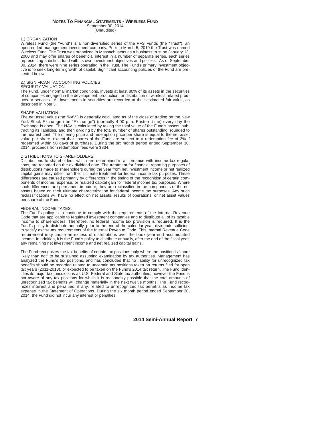#### **NOTES TO FINANCIAL STATEMENTS - WIRELESS FUND** September 30, 2014

(Unaudited)

# 1.) ORGANIZATION

Wireless Fund (the "Fund") is a non-diversified series of the PFS Funds (the "Trust"), an open-ended management investment company. Prior to March 5, 2010 the Trust was named Wireless Fund. The Trust was organized in Massachusetts as a business trust on January 13, 2000 and may offer shares of beneficial interest in a number of separate series, each series representing a distinct fund with its own investment objectives and policies. As of September 30, 2014, there were nine series operating in the Trust. The Fund's primary investment objective is to seek long-term growth of capital. Significant accounting policies of the Fund are presented below:

# 2.) SIGNIFICANT ACCOUNTING POLICIES

# SECURITY VALUATION:

The Fund, under normal market conditions, invests at least 80% of its assets in the securities of companies engaged in the development, production, or distribution of wireless related products or services. All investments in securities are recorded at their estimated fair value, as described in Note 3.

# SHARE VALUATION:

The net asset value (the "NAV") is generally calculated as of the close of trading on the New York Stock Exchange (the "Exchange") (normally 4:00 p.m. Eastern time) every day the Exchange is open. The NAV is calculated by taking the total value of the Fund's assets, subtracting its liabilities, and then dividing by the total number of shares outstanding, rounded to the nearest cent. The offering price and redemption price per share is equal to the net asset value per share, except that shares of the Fund are subject to a redemption fee of 2% if redeemed within 90 days of purchase. During the six month period ended September 30, 2014, proceeds from redemption fees were \$334.

# DISTRIBUTIONS TO SHAREHOLDERS:

Distributions to shareholders, which are determined in accordance with income tax regulations, are recorded on the ex-dividend date. The treatment for financial reporting purposes of distributions made to shareholders during the year from net investment income or net realized capital gains may differ from their ultimate treatment for federal income tax purposes. These differences are caused primarily by differences in the timing of the recognition of certain components of income, expense, or realized capital gain for federal income tax purposes. Where such differences are permanent in nature, they are reclassified in the components of the net assets based on their ultimate characterization for federal income tax purposes. Any such reclassifications will have no effect on net assets, results of operations, or net asset values per share of the Fund.

# FEDERAL INCOME TAXES:

The Fund's policy is to continue to comply with the requirements of the Internal Revenue Code that are applicable to regulated investment companies and to distribute all of its taxable income to shareholders. Therefore, no federal income tax provision is required. It is the Fund's policy to distribute annually, prior to the end of the calendar year, dividends sufficient to satisfy excise tax requirements of the Internal Revenue Code. This Internal Revenue Code requirement may cause an excess of distributions over the book year-end accumulated income. In addition, it is the Fund's policy to distribute annually, after the end of the fiscal year, any remaining net investment income and net realized capital gains.

The Fund recognizes the tax benefits of certain tax positions only where the position is "more likely than not" to be sustained assuming examination by tax authorities. Management has analyzed the Fund's tax positions, and has concluded that no liability for unrecognized tax benefits should be recorded related to uncertain tax positions taken on returns filed for open tax years (2011-2013), or expected to be taken on the Fund's 2014 tax return. The Fund identifies its major tax jurisdictions as U.S. Federal and State tax authorities; however the Fund is not aware of any tax positions for which it is reasonably possible that the total amounts of unrecognized tax benefits will change materially in the next twelve months. The Fund recognizes interest and penalties, if any, related to unrecognized tax benefits as income tax expense in the Statement of Operations. During the six month period ended September 30, 2014, the Fund did not incur any interest or penalties.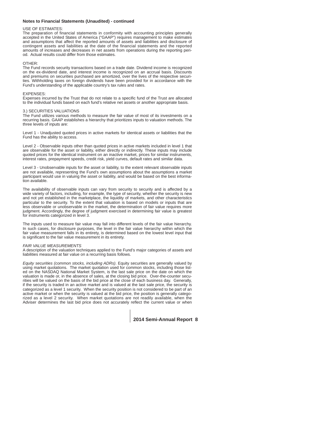# **Notes to Financial Statements (Unaudited) - continued**

# USE OF ESTIMATES:

The preparation of financial statements in conformity with accounting principles generally accepted in the United States of America ("GAAP") requires management to make estimates and assumptions that affect the reported amounts of assets and liabilities and disclosure of contingent assets and liabilities at the date of the financial statements and the reported amounts of increases and decreases in net assets from operations during the reporting period. Actual results could differ from those estimates.

# OTHER:

The Fund records security transactions based on a trade date. Dividend income is recognized on the ex-dividend date, and interest income is recognized on an accrual basis. Discounts and premiums on securities purchased are amortized, over the lives of the respective securities. Withholding taxes on foreign dividends have been provided for in accordance with the Fund's understanding of the applicable country's tax rules and rates.

### EXPENSES:

Expenses incurred by the Trust that do not relate to a specific fund of the Trust are allocated to the individual funds based on each fund's relative net assets or another appropriate basis.

# 3.) SECURITIES VALUATIONS

The Fund utilizes various methods to measure the fair value of most of its investments on a recurring basis. GAAP establishes a hierarchy that prioritizes inputs to valuation methods. The three levels of inputs are:

Level 1 - Unadjusted quoted prices in active markets for identical assets or liabilities that the Fund has the ability to access.

Level 2 - Observable inputs other than quoted prices in active markets included in level 1 that are observable for the asset or liability, either directly or indirectly. These inputs may include quoted prices for the identical instrument on an inactive market, prices for similar instruments, interest rates, prepayment speeds, credit risk, yield curves, default rates and similar data.

Level 3 - Unobservable inputs for the asset or liability, to the extent relevant observable inputs are not available, representing the Fund's own assumptions about the assumptions a market participant would use in valuing the asset or liability, and would be based on the best information available.

The availability of observable inputs can vary from security to security and is affected by a wide variety of factors, including, for example, the type of security, whether the security is new and not vet established in the marketplace, the liquidity of markets, and other characteristics particular to the security. To the extent that valuation is based on models or inputs that are less observable or unobservable in the market, the determination of fair value requires more judgment. Accordingly, the degree of judgment exercised in determining fair value is greatest for instruments categorized in level 3.

The inputs used to measure fair value may fall into different levels of the fair value hierarchy. In such cases, for disclosure purposes, the level in the fair value hierarchy within which the fair value measurement falls in its entirety, is determined based on the lowest level input that is significant to the fair value measurement in its entirety.

### *FAIR VALUE MEASUREMENTS*

A description of the valuation techniques applied to the Fund's major categories of assets and liabilities measured at fair value on a recurring basis follows.

*Equity securities (common stocks, including ADRs)*. Equity securities are generally valued by using market quotations. The market quotation used for common stocks, including those listed on the NASDAQ National Market System, is the last sale price on the date on which the valuation is made or, in the absence of sales, at the closing bid price. Over-the-counter securities will be valued on the basis of the bid price at the close of each business day. Generally, if the security is traded in an active market and is valued at the last sale price, the security is categorized as a level 1 security. When the security position is not considered to be part of an active market or when the security is valued at the bid price, the position is generally categorized as a level 2 security. When market quotations are not readily available, when the Adviser determines the last bid price does not accurately reflect the current value or when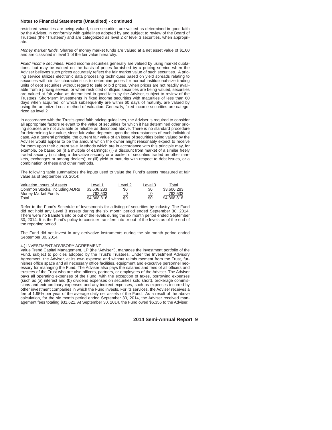# **Notes to Financial Statements (Unaudited) - continued**

restricted securities are being valued, such securities are valued as determined in good faith by the Adviser, in conformity with guidelines adopted by and subject to review of the Board of Trustees (the "Trustees") and are categorized as level 2 or level 3 securities, when appropriate.

*Money market funds.* Shares of money market funds are valued at a net asset value of \$1.00 and are classified in level 1 of the fair value hierarchy.

*Fixed income securities.* Fixed income securities generally are valued by using market quotations, but may be valued on the basis of prices furnished by a pricing service when the Adviser believes such prices accurately reflect the fair market value of such securities. A pricing service utilizes electronic data processing techniques based on yield spreads relating to securities with similar characteristics to determine prices for normal institutional-size trading units of debt securities without regard to sale or bid prices. When prices are not readily available from a pricing service, or when restricted or illiquid securities are being valued, securities are valued at fair value as determined in good faith by the Adviser, subject to review of the Trustees. Short-term investments in fixed income securities with maturities of less than 60 days when acquired, or which subsequently are within 60 days of maturity, are valued by using the amortized cost method of valuation. Generally, fixed income securities are categorized as level 2.

In accordance with the Trust's good faith pricing guidelines, the Adviser is required to consider all appropriate factors relevant to the value of securities for which it has determined other pricing sources are not available or reliable as described above. There is no standard procedure for determining fair value, since fair value depends upon the circumstances of each individual case. As a general principle, the current fair value of an issue of securities being valued by the Adviser would appear to be the amount which the owner might reasonably expect to receive for them upon their current sale. Methods which are in accordance with this principle may, for example, be based on (i) a multiple of earnings; (ii) a discount from market of a similar freely traded security (including a derivative security or a basket of securities traded on other markets, exchanges or among dealers); or (iii) yield to maturity with respect to debt issues, or a combination of these and other methods.

The following table summarizes the inputs used to value the Fund's assets measured at fair value as of September 30, 2014:

| Valuation Inputs of Assets    | Level 1     | Level 2   | Level 3 | Total       |
|-------------------------------|-------------|-----------|---------|-------------|
| Common Stocks, including ADRs | \$3,606,283 | \$0       | \$0     | \$3.606.283 |
| Money Market Funds            | 762.533     | <u>_0</u> |         | 762.533     |
| Total                         | \$4,368,816 | \$0       | \$0     | \$4,368,816 |

Refer to the Fund's Schedule of Investments for a listing of securities by industry. The Fund did not hold any Level 3 assets during the six month period ended September 30, 2014. There were no transfers into or out of the levels during the six month period ended September 30, 2014. It is the Fund's policy to consider transfers into or out of the levels as of the end of the reporting period.

The Fund did not invest in any derivative instruments during the six month period ended September 30, 2014.

### 4.) INVESTMENT ADVISORY AGREEMENT

Value Trend Capital Management, LP (the "Adviser"), manages the investment portfolio of the Fund, subject to policies adopted by the Trust's Trustees. Under the Investment Advisory Agreement, the Adviser, at its own expense and without reimbursement from the Trust, furnishes office space and all necessary office facilities, equipment and executive personnel necessary for managing the Fund. The Adviser also pays the salaries and fees of all officers and trustees of the Trust who are also officers, partners, or employees of the Adviser. The Adviser pays all operating expenses of the Fund, with the exception of taxes, borrowing expenses (such as (a) interest and (b) dividend expenses on securities sold short), brokerage commissions and extraordinary expenses and any indirect expenses, such as expenses incurred by other investment companies in which the Fund invests. For its services, the Adviser receives a fee of 1.95% per year of the average daily net assets of the Fund. As a result of the above calculation, for the six month period ended September 30, 2014, the Adviser received management fees totaling \$31,621. At September 30, 2014, the Fund owed \$6,356 to the Adviser.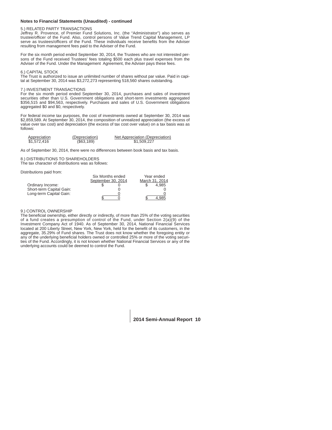# **Notes to Financial Statements (Unaudited) - continued**

# 5.) RELATED PARTY TRANSACTIONS

Jeffrey R. Provence, of Premier Fund Solutions, Inc. (the "Administrator") also serves as trustee/officer of the Fund. Also, control persons of Value Trend Capital Management, LP serve as trustees/officers of the Fund. These individuals receive benefits from the Adviser resulting from management fees paid to the Adviser of the Fund.

For the six month period ended September 30, 2014, the Trustees who are not interested persons of the Fund received Trustees' fees totaling \$500 each plus travel expenses from the Adviser of the Fund. Under the Management Agreement, the Adviser pays these fees.

#### 6.) CAPITAL STOCK

The Trust is authorized to issue an unlimited number of shares without par value. Paid in capital at September 30, 2014 was \$3,272,273 representing 518,560 shares outstanding.

### 7.) INVESTMENT TRANSACTIONS

For the six month period ended September 30, 2014, purchases and sales of investment securities other than U.S. Government obligations and short-term investments aggregated \$356,515 and \$94,563, respectively. Purchases and sales of U.S. Government obligations aggregated \$0 and \$0, respectively.

For federal income tax purposes, the cost of investments owned at September 30, 2014 was \$2,859,589. At September 30, 2014, the composition of unrealized appreciation (the excess of value over tax cost) and depreciation (the excess of tax cost over value) on a tax basis was as follows:

| Appreciation | (Depreciation) | Net Appreciation (Depreciation) |
|--------------|----------------|---------------------------------|
| \$1,572,416  | (\$63,189)     | \$1,509,227                     |

As of September 30, 2014, there were no differences between book basis and tax basis.

8.) DISTRIBUTIONS TO SHAREHOLDERS The tax character of distributions was as follows:

Distributions paid from:

|                          | Six Months ended   | Year ended |  |                |
|--------------------------|--------------------|------------|--|----------------|
|                          | September 30, 2014 |            |  | March 31, 2014 |
| Ordinary Income:         |                    |            |  | 4.985          |
| Short-term Capital Gain: |                    |            |  |                |
| Long-term Capital Gain:  |                    |            |  |                |
|                          |                    |            |  | 985            |

### 9.) CONTROL OWNERSHIP

The beneficial ownership, either directly or indirectly, of more than 25% of the voting securities of a fund creates a presumption of control of the Fund, under Section  $2(a)(9)$  of the Investment Company Act of 1940. As of September 30, 2014, National Financial Services located at 200 Liberty Street, New York, New York, held for the benefit of its customers, in the aggregate, 35.29% of Fund shares. The Trust does not know whether the foregoing entity or any of the underlying beneficial holders owned or controlled 25% or more of the voting securities of the Fund. Accordingly, it is not known whether National Financial Services or any of the underlying accounts could be deemed to control the Fund.